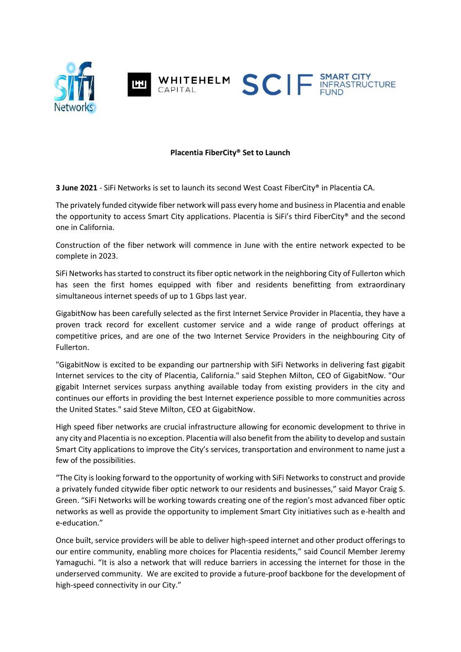

## **Placentia FiberCity® Set to Launch**

**3 June 2021** - SiFi Networks is set to launch its second West Coast FiberCity® in Placentia CA.

The privately funded citywide fiber network will pass every home and business in Placentia and enable the opportunity to access Smart City applications. Placentia is SiFi's third FiberCity® and the second one in California.

Construction of the fiber network will commence in June with the entire network expected to be complete in 2023.

SiFi Networks has started to construct its fiber optic network in the neighboring City of Fullerton which has seen the first homes equipped with fiber and residents benefitting from extraordinary simultaneous internet speeds of up to 1 Gbps last year.

GigabitNow has been carefully selected as the first Internet Service Provider in Placentia, they have a proven track record for excellent customer service and a wide range of product offerings at competitive prices, and are one of the two Internet Service Providers in the neighbouring City of Fullerton.

"GigabitNow is excited to be expanding our partnership with SiFi Networks in delivering fast gigabit Internet services to the city of Placentia, California." said Stephen Milton, CEO of GigabitNow. "Our gigabit Internet services surpass anything available today from existing providers in the city and continues our efforts in providing the best Internet experience possible to more communities across the United States." said Steve Milton, CEO at GigabitNow.

High speed fiber networks are crucial infrastructure allowing for economic development to thrive in any city and Placentia is no exception. Placentia will also benefit from the ability to develop and sustain Smart City applications to improve the City's services, transportation and environment to name just a few of the possibilities.

"The City is looking forward to the opportunity of working with SiFi Networks to construct and provide a privately funded citywide fiber optic network to our residents and businesses," said Mayor Craig S. Green. "SiFi Networks will be working towards creating one of the region's most advanced fiber optic networks as well as provide the opportunity to implement Smart City initiatives such as e-health and e-education."

Once built, service providers will be able to deliver high-speed internet and other product offerings to our entire community, enabling more choices for Placentia residents," said Council Member Jeremy Yamaguchi. "It is also a network that will reduce barriers in accessing the internet for those in the underserved community. We are excited to provide a future-proof backbone for the development of high-speed connectivity in our City."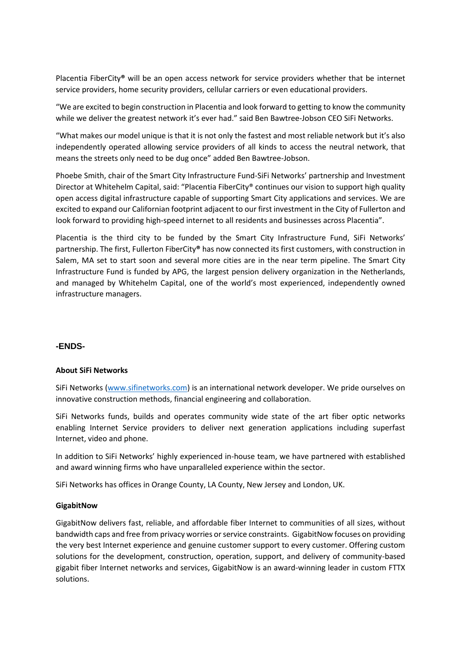Placentia FiberCity**®** will be an open access network for service providers whether that be internet service providers, home security providers, cellular carriers or even educational providers.

"We are excited to begin construction in Placentia and look forward to getting to know the community while we deliver the greatest network it's ever had." said Ben Bawtree-Jobson CEO SiFi Networks.

"What makes our model unique is that it is not only the fastest and most reliable network but it's also independently operated allowing service providers of all kinds to access the neutral network, that means the streets only need to be dug once" added Ben Bawtree-Jobson.

Phoebe Smith, chair of the Smart City Infrastructure Fund-SiFi Networks' partnership and Investment Director at Whitehelm Capital, said: "Placentia FiberCity® continues our vision to support high quality open access digital infrastructure capable of supporting Smart City applications and services. We are excited to expand our Californian footprint adjacent to our first investment in the City of Fullerton and look forward to providing high-speed internet to all residents and businesses across Placentia".

Placentia is the third city to be funded by the Smart City Infrastructure Fund, SiFi Networks' partnership. The first, Fullerton FiberCity**®** has now connected its first customers, with construction in Salem, MA set to start soon and several more cities are in the near term pipeline. The Smart City Infrastructure Fund is funded by APG, the largest pension delivery organization in the Netherlands, and managed by Whitehelm Capital, one of the world's most experienced, independently owned infrastructure managers.

## **-ENDS-**

## **About SiFi Networks**

SiFi Networks (www.sifinetworks.com) is an international network developer. We pride ourselves on innovative construction methods, financial engineering and collaboration.

SiFi Networks funds, builds and operates community wide state of the art fiber optic networks enabling Internet Service providers to deliver next generation applications including superfast Internet, video and phone.

In addition to SiFi Networks' highly experienced in-house team, we have partnered with established and award winning firms who have unparalleled experience within the sector.

SiFi Networks has offices in Orange County, LA County, New Jersey and London, UK.

#### **GigabitNow**

GigabitNow delivers fast, reliable, and affordable fiber Internet to communities of all sizes, without bandwidth caps and free from privacy worries or service constraints. GigabitNow focuses on providing the very best Internet experience and genuine customer support to every customer. Offering custom solutions for the development, construction, operation, support, and delivery of community-based gigabit fiber Internet networks and services, GigabitNow is an award-winning leader in custom FTTX solutions.